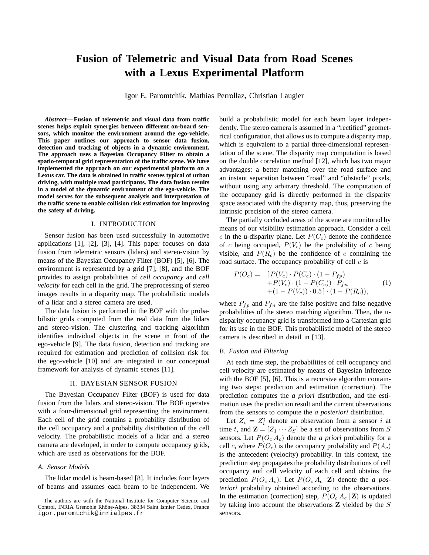# **Fusion of Telemetric and Visual Data from Road Scenes with a Lexus Experimental Platform**

Igor E. Paromtchik, Mathias Perrollaz, Christian Laugier

*Abstract***— Fusion of telemetric and visual data from traffic scenes helps exploit synergies between different on-board sensors, which monitor the environment around the ego-vehicle. This paper outlines our approach to sensor data fusion, detection and tracking of objects in a dynamic environment. The approach uses a Bayesian Occupancy Filter to obtain a spatio-temporal grid representation of the traffic scene. We have implemented the approach on our experimental platform on a Lexus car. The data is obtained in traffic scenes typical of urban driving, with multiple road participants. The data fusion results in a model of the dynamic environment of the ego-vehicle. The model serves for the subsequent analysis and interpretation of the traffic scene to enable collision risk estimation for improving the safety of driving.**

## I. INTRODUCTION

Sensor fusion has been used successfully in automotive applications [1], [2], [3], [4]. This paper focuses on data fusion from telemetric sensors (lidars) and stereo-vision by means of the Bayesian Occupancy Filter (BOF) [5], [6]. The environment is represented by a grid [7], [8], and the BOF provides to assign probabilities of *cell occupancy* and *cell velocity* for each cell in the grid. The preprocessing of stereo images results in a disparity map. The probabilistic models of a lidar and a stereo camera are used.

The data fusion is performed in the BOF with the probabilistic grids computed from the real data from the lidars and stereo-vision. The clustering and tracking algorithm identifies individual objects in the scene in front of the ego-vehicle [9]. The data fusion, detection and tracking are required for estimation and prediction of collision risk for the ego-vehicle [10] and are integrated in our conceptual framework for analysis of dynamic scenes [11].

## II. BAYESIAN SENSOR FUSION

The Bayesian Occupancy Filter (BOF) is used for data fusion from the lidars and stereo-vision. The BOF operates with a four-dimensional grid representing the environment. Each cell of the grid contains a probability distribution of the cell occupancy and a probability distribution of the cell velocity. The probabilistic models of a lidar and a stereo camera are developed, in order to compute occupancy grids, which are used as observations for the BOF.

## *A. Sensor Models*

The lidar model is beam-based [8]. It includes four layers of beams and assumes each beam to be independent. We build a probabilistic model for each beam layer independently. The stereo camera is assumed in a "rectified" geometrical configuration, that allows us to compute a disparity map, which is equivalent to a partial three-dimensional representation of the scene. The disparity map computation is based on the double correlation method [12], which has two major advantages: a better matching over the road surface and an instant separation between "road" and "obstacle" pixels, without using any arbitrary threshold. The computation of the occupancy grid is directly performed in the disparity space associated with the disparity map, thus, preserving the intrinsic precision of the stereo camera.

The partially occluded areas of the scene are monitored by means of our visibility estimation approach. Consider a cell c in the u-disparity plane. Let  $P(C_c)$  denote the confidence of c being occupied,  $P(V_c)$  be the probability of c being visible, and  $P(R_c)$  be the confidence of c containing the road surface. The occupancy probability of cell  $c$  is

$$
P(O_c) = [P(V_c) \cdot P(C_c) \cdot (1 - P_{fp}) + P(V_c) \cdot (1 - P(C_c)) \cdot P_{fn} + (1 - P(V_c)) \cdot 0.5] \cdot (1 - P(R_c)),
$$
 (1)

where  $P_{fp}$  and  $P_{fn}$  are the false positive and false negative probabilities of the stereo matching algorithm. Then, the udisparity occupancy grid is transformed into a Cartesian grid for its use in the BOF. This probabilistic model of the stereo camera is described in detail in [13].

## *B. Fusion and Filtering*

At each time step, the probabilities of cell occupancy and cell velocity are estimated by means of Bayesian inference with the BOF [5], [6]. This is a recursive algorithm containing two steps: prediction and estimation (correction). The prediction computes the *a priori* distribution, and the estimation uses the prediction result and the current observations from the sensors to compute the *a posteriori* distribution.

Let  $Z_i = Z_i^t$  denote an observation from a sensor i at time t, and  $\mathbf{Z} = [Z_1 \cdots Z_S]$  be a set of observations from S sensors. Let  $P(O_c A_c)$  denote the *a priori* probability for a cell c, where  $P(O_c)$  is the occupancy probability and  $P(A_c)$ is the antecedent (velocity) probability. In this context, the prediction step propagates the probability distributions of cell occupancy and cell velocity of each cell and obtains the prediction  $P(O_c A_c)$ . Let  $P(O_c A_c | \mathbf{Z})$  denote the *a posteriori* probability obtained according to the observations. In the estimation (correction) step,  $P(O_c A_c | \mathbf{Z})$  is updated by taking into account the observations  $Z$  yielded by the  $S$ sensors.

The authors are with the National Institute for Computer Science and Control, INRIA Grenoble Rhône-Alpes, 38334 Saint Ismier Cedex, France igor.paromtchik@inrialpes.fr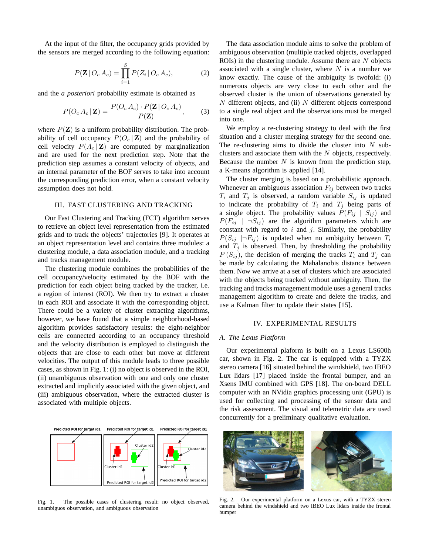At the input of the filter, the occupancy grids provided by the sensors are merged according to the following equation:

$$
P(\mathbf{Z} | O_c A_c) = \prod_{i=1}^{S} P(Z_i | O_c A_c), \tag{2}
$$

and the *a posteriori* probability estimate is obtained as

$$
P(O_c A_c | \mathbf{Z}) = \frac{P(O_c A_c) \cdot P(\mathbf{Z} | O_c A_c)}{P(\mathbf{Z})},
$$
 (3)

where  $P(\mathbf{Z})$  is a uniform probability distribution. The probability of cell occupancy  $P(O_c | \mathbf{Z})$  and the probability of cell velocity  $P(A_c | \mathbf{Z})$  are computed by marginalization and are used for the next prediction step. Note that the prediction step assumes a constant velocity of objects, and an internal parameter of the BOF serves to take into account the corresponding prediction error, when a constant velocity assumption does not hold.

## III. FAST CLUSTERING AND TRACKING

Our Fast Clustering and Tracking (FCT) algorithm serves to retrieve an object level representation from the estimated grids and to track the objects' trajectories [9]. It operates at an object representation level and contains three modules: a clustering module, a data association module, and a tracking and tracks management module.

The clustering module combines the probabilities of the cell occupancy/velocity estimated by the BOF with the prediction for each object being tracked by the tracker, i.e. a region of interest (ROI). We then try to extract a cluster in each ROI and associate it with the corresponding object. There could be a variety of cluster extracting algorithms, however, we have found that a simple neighborhood-based algorithm provides satisfactory results: the eight-neighbor cells are connected according to an occupancy threshold and the velocity distribution is employed to distinguish the objects that are close to each other but move at different velocities. The output of this module leads to three possible cases, as shown in Fig. 1: (i) no object is observed in the ROI, (ii) unambiguous observation with one and only one cluster extracted and implicitly associated with the given object, and (iii) ambiguous observation, where the extracted cluster is associated with multiple objects.



Fig. 1. The possible cases of clustering result: no object observed, unambiguos observation, and ambiguous observation

The data association module aims to solve the problem of ambiguous observation (multiple tracked objects, overlapped ROIs) in the clustering module. Assume there are  $N$  objects associated with a single cluster, where  $N$  is a number we know exactly. The cause of the ambiguity is twofold: (i) numerous objects are very close to each other and the observed cluster is the union of observations generated by  $N$  different objects, and (ii)  $N$  different objects correspond to a single real object and the observations must be merged into one.

We employ a re-clustering strategy to deal with the first situation and a cluster merging strategy for the second one. The re-clustering aims to divide the cluster into  $N$  subclusters and associate them with the  $N$  objects, respectively. Because the number  $N$  is known from the prediction step, a K-means algorithm is applied [14].

The cluster merging is based on a probabilistic approach. Whenever an ambiguous association  $F_{ij}$  between two tracks  $T_i$  and  $T_j$  is observed, a random variable  $S_{ij}$  is updated to indicate the probability of  $T_i$  and  $T_j$  being parts of a single object. The probability values  $P(F_{ij} | S_{ij})$  and  $P(F_{ij} \mid \neg S_{ij})$  are the algorithm parameters which are constant with regard to  $i$  and  $j$ . Similarly, the probability  $P(S_{ij} | \neg F_{ij})$  is updated when no ambiguity between  $T_i$ and  $T_j$  is observed. Then, by thresholding the probability  $P(S_{ij})$ , the decision of merging the tracks  $T_i$  and  $T_j$  can be made by calculating the Mahalanobis distance between them. Now we arrive at a set of clusters which are associated with the objects being tracked without ambiguity. Then, the tracking and tracks management module uses a general tracks management algorithm to create and delete the tracks, and use a Kalman filter to update their states [15].

### IV. EXPERIMENTAL RESULTS

#### *A. The Lexus Platform*

Our experimental plaform is built on a Lexus LS600h car, shown in Fig. 2. The car is equipped with a TYZX stereo camera [16] situated behind the windshield, two IBEO Lux lidars [17] placed inside the frontal bumper, and an Xsens IMU combined with GPS [18]. The on-board DELL computer with an NVidia graphics processing unit (GPU) is used for collecting and processing of the sensor data and the risk assessment. The visual and telemetric data are used concurrently for a preliminary qualitative evaluation.



Fig. 2. Our experimental platform on a Lexus car, with a TYZX stereo camera behind the windshield and two IBEO Lux lidars inside the frontal bumper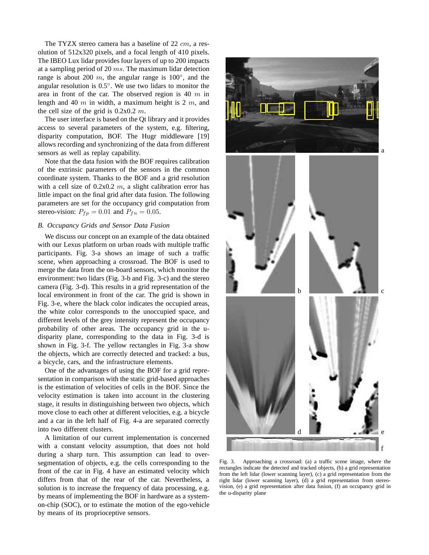The TYZX stereo camera has a baseline of 22 cm, a resolution of 512x320 pixels, and a focal length of 410 pixels. The IBEO Lux lidar provides four layers of up to 200 impacts at a sampling period of 20 ms. The maximum lidar detection range is about 200  $m$ , the angular range is 100 $^{\circ}$ , and the angular resolution is 0.5◦ . We use two lidars to monitor the area in front of the car. The observed region is 40  $m$  in length and 40  $m$  in width, a maximum height is 2  $m$ , and the cell size of the grid is  $0.2 \times 0.2$  m.

The user interface is based on the Qt library and it provides access to several parameters of the system, e.g. filtering, disparity computation, BOF. The Hugr middleware [19] allows recording and synchronizing of the data from different sensors as well as replay capability.

Note that the data fusion with the BOF requires calibration of the extrinsic parameters of the sensors in the common coordinate system. Thanks to the BOF and a grid resolution with a cell size of  $0.2x0.2$  m, a slight calibration error has little impact on the final grid after data fusion. The following parameters are set for the occupancy grid computation from stereo-vision:  $P_{fp} = 0.01$  and  $P_{fn} = 0.05$ .

## *B. Occupancy Grids and Sensor Data Fusion*

We discuss our concept on an example of the data obtained with our Lexus platform on urban roads with multiple traffic participants. Fig. 3-a shows an image of such a traffic scene, when approaching a crossroad. The BOF is used to merge the data from the on-board sensors, which monitor the environment: two lidars (Fig. 3-b and Fig. 3-c) and the stereo camera (Fig. 3-d). This results in a grid representation of the local environment in front of the car. The grid is shown in Fig. 3-e, where the black color indicates the occupied areas, the white color corresponds to the unoccupied space, and different levels of the grey intensity represent the occupancy probability of other areas. The occupancy grid in the udisparity plane, corresponding to the data in Fig. 3-d is shown in Fig. 3-f. The yellow rectangles in Fig. 3-a show the objects, which are correctly detected and tracked: a bus, a bicycle, cars, and the infrastructure elements.

One of the advantages of using the BOF for a grid representation in comparison with the static grid-based approaches is the estimation of velocities of cells in the BOF. Since the velocity estimation is taken into account in the clustering stage, it results in distinguishing between two objects, which move close to each other at different velocities, e.g. a bicycle and a car in the left half of Fig. 4-a are separated correctly into two different clusters.

A limitation of our current implementation is concerned with a constant velocity assumption, that does not hold during a sharp turn. This assumption can lead to oversegmentation of objects, e.g. the cells corresponding to the front of the car in Fig. 4 have an estimated velocity which differs from that of the rear of the car. Nevertheless, a solution is to increase the frequency of data processing, e.g. by means of implementing the BOF in hardware as a systemon-chip (SOC), or to estimate the motion of the ego-vehicle by means of its proprioceptive sensors.



Fig. 3. Approaching a crossroad: (a) a traffic scene image, where the rectangles indicate the detected and tracked objects, (b) a grid representation from the left lidar (lower scanning layer), (c) a grid representation from the right lidar (lower scanning layer), (d) a grid representation from stereovision, (e) a grid representation after data fusion, (f) an occupancy grid in the u-disparity plane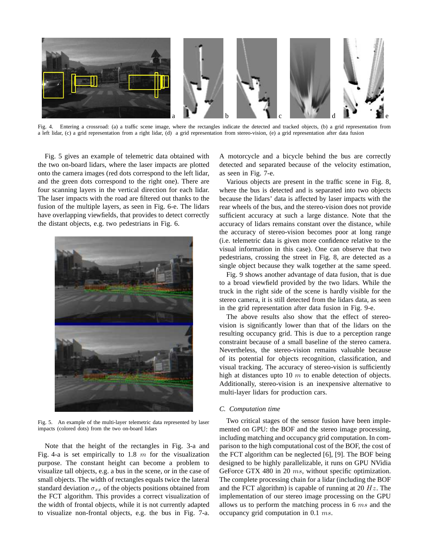

Fig. 4. Entering a crossroad: (a) a traffic scene image, where the rectangles indicate the detected and tracked objects, (b) a grid representation from a left lidar, (c) a grid representation from a right lidar, (d) a grid representation from stereo-vision, (e) a grid representation after data fusion

Fig. 5 gives an example of telemetric data obtained with the two on-board lidars, where the laser impacts are plotted onto the camera images (red dots correspond to the left lidar, and the green dots correspond to the right one). There are four scanning layers in the vertical direction for each lidar. The laser impacts with the road are filtered out thanks to the fusion of the multiple layers, as seen in Fig. 6-e. The lidars have overlapping viewfields, that provides to detect correctly the distant objects, e.g. two pedestrians in Fig. 6.



Fig. 5. An example of the multi-layer telemetric data represented by laser impacts (colored dots) from the two on-board lidars

Note that the height of the rectangles in Fig. 3-a and Fig. 4-a is set empirically to 1.8  $m$  for the visualization purpose. The constant height can become a problem to visualize tall objects, e.g. a bus in the scene, or in the case of small objects. The width of rectangles equals twice the lateral standard deviation  $\sigma_{xx}$  of the objects positions obtained from the FCT algorithm. This provides a correct visualization of the width of frontal objects, while it is not currently adapted to visualize non-frontal objects, e.g. the bus in Fig. 7-a.

A motorcycle and a bicycle behind the bus are correctly detected and separated because of the velocity estimation, as seen in Fig. 7-e.

Various objects are present in the traffic scene in Fig. 8, where the bus is detected and is separated into two objects because the lidars' data is affected by laser impacts with the rear wheels of the bus, and the stereo-vision does not provide sufficient accuracy at such a large distance. Note that the accuracy of lidars remains constant over the distance, while the accuracy of stereo-vision becomes poor at long range (i.e. telemetric data is given more confidence relative to the visual information in this case). One can observe that two pedestrians, crossing the street in Fig. 8, are detected as a single object because they walk together at the same speed.

Fig. 9 shows another advantage of data fusion, that is due to a broad viewfield provided by the two lidars. While the truck in the right side of the scene is hardly visible for the stereo camera, it is still detected from the lidars data, as seen in the grid representation after data fusion in Fig. 9-e.

The above results also show that the effect of stereovision is significantly lower than that of the lidars on the resulting occupancy grid. This is due to a perception range constraint because of a small baseline of the stereo camera. Nevertheless, the stereo-vision remains valuable because of its potential for objects recognition, classification, and visual tracking. The accuracy of stereo-vision is sufficiently high at distances upto 10  $m$  to enable detection of objects. Additionally, stereo-vision is an inexpensive alternative to multi-layer lidars for production cars.

## *C. Computation time*

Two critical stages of the sensor fusion have been implemented on GPU: the BOF and the stereo image processing, including matching and occupancy grid computation. In comparison to the high computational cost of the BOF, the cost of the FCT algorithm can be neglected [6], [9]. The BOF being designed to be highly parallelizable, it runs on GPU NVidia GeForce GTX 480 in 20 ms, without specific optimization. The complete processing chain for a lidar (including the BOF and the FCT algorithm) is capable of running at 20  $Hz$ . The implementation of our stereo image processing on the GPU allows us to perform the matching process in  $6$  ms and the occupancy grid computation in 0.1 ms.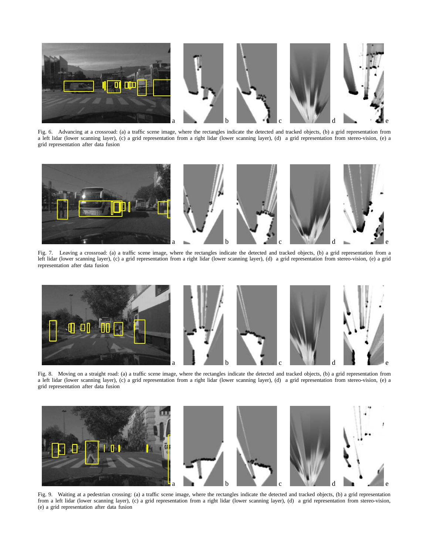

Fig. 6. Advancing at a crossroad: (a) a traffic scene image, where the rectangles indicate the detected and tracked objects, (b) a grid representation from a left lidar (lower scanning layer), (c) a grid representation from a right lidar (lower scanning layer), (d) a grid representation from stereo-vision, (e) a grid representation after data fusion



Fig. 7. Leaving a crossroad: (a) a traffic scene image, where the rectangles indicate the detected and tracked objects, (b) a grid representation from a left lidar (lower scanning layer), (c) a grid representation from a right lidar (lower scanning layer), (d) a grid representation from stereo-vision, (e) a grid representation after data fusion



Fig. 8. Moving on a straight road: (a) a traffic scene image, where the rectangles indicate the detected and tracked objects, (b) a grid representation from a left lidar (lower scanning layer), (c) a grid representation from a right lidar (lower scanning layer), (d) a grid representation from stereo-vision, (e) a grid representation after data fusion



Fig. 9. Waiting at a pedestrian crossing: (a) a traffic scene image, where the rectangles indicate the detected and tracked objects, (b) a grid representation from a left lidar (lower scanning layer), (c) a grid representation from a right lidar (lower scanning layer), (d) a grid representation from stereo-vision, (e) a grid representation after data fusion